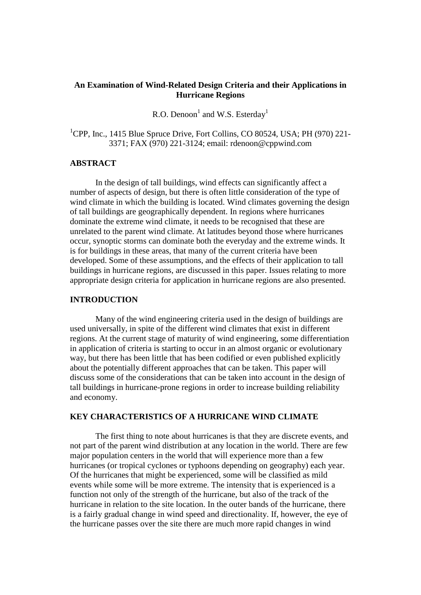## **An Examination of Wind-Related Design Criteria and their Applications in Hurricane Regions**

R.O. Denoon<sup>1</sup> and W.S. Esterday<sup>1</sup>

<sup>1</sup>CPP, Inc., 1415 Blue Spruce Drive, Fort Collins, CO 80524, USA; PH (970) 221-3371; FAX (970) 221-3124; email: rdenoon@cppwind.com

#### **ABSTRACT**

In the design of tall buildings, wind effects can significantly affect a number of aspects of design, but there is often little consideration of the type of wind climate in which the building is located. Wind climates governing the design of tall buildings are geographically dependent. In regions where hurricanes dominate the extreme wind climate, it needs to be recognised that these are unrelated to the parent wind climate. At latitudes beyond those where hurricanes occur, synoptic storms can dominate both the everyday and the extreme winds. It is for buildings in these areas, that many of the current criteria have been developed. Some of these assumptions, and the effects of their application to tall buildings in hurricane regions, are discussed in this paper. Issues relating to more appropriate design criteria for application in hurricane regions are also presented.

## **INTRODUCTION**

Many of the wind engineering criteria used in the design of buildings are used universally, in spite of the different wind climates that exist in different regions. At the current stage of maturity of wind engineering, some differentiation in application of criteria is starting to occur in an almost organic or evolutionary way, but there has been little that has been codified or even published explicitly about the potentially different approaches that can be taken. This paper will discuss some of the considerations that can be taken into account in the design of tall buildings in hurricane-prone regions in order to increase building reliability and economy.

## **KEY CHARACTERISTICS OF A HURRICANE WIND CLIMATE**

The first thing to note about hurricanes is that they are discrete events, and not part of the parent wind distribution at any location in the world. There are few major population centers in the world that will experience more than a few hurricanes (or tropical cyclones or typhoons depending on geography) each year. Of the hurricanes that might be experienced, some will be classified as mild events while some will be more extreme. The intensity that is experienced is a function not only of the strength of the hurricane, but also of the track of the hurricane in relation to the site location. In the outer bands of the hurricane, there is a fairly gradual change in wind speed and directionality. If, however, the eye of the hurricane passes over the site there are much more rapid changes in wind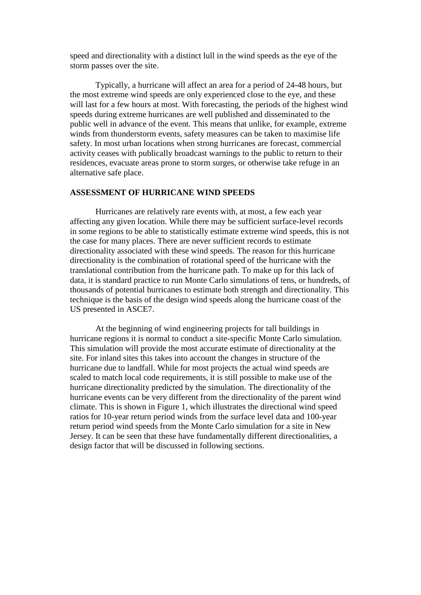speed and directionality with a distinct lull in the wind speeds as the eye of the storm passes over the site.

Typically, a hurricane will affect an area for a period of 24-48 hours, but the most extreme wind speeds are only experienced close to the eye, and these will last for a few hours at most. With forecasting, the periods of the highest wind speeds during extreme hurricanes are well published and disseminated to the public well in advance of the event. This means that unlike, for example, extreme winds from thunderstorm events, safety measures can be taken to maximise life safety. In most urban locations when strong hurricanes are forecast, commercial activity ceases with publically broadcast warnings to the public to return to their residences, evacuate areas prone to storm surges, or otherwise take refuge in an alternative safe place.

## **ASSESSMENT OF HURRICANE WIND SPEEDS**

Hurricanes are relatively rare events with, at most, a few each year affecting any given location. While there may be sufficient surface-level records in some regions to be able to statistically estimate extreme wind speeds, this is not the case for many places. There are never sufficient records to estimate directionality associated with these wind speeds. The reason for this hurricane directionality is the combination of rotational speed of the hurricane with the translational contribution from the hurricane path. To make up for this lack of data, it is standard practice to run Monte Carlo simulations of tens, or hundreds, of thousands of potential hurricanes to estimate both strength and directionality. This technique is the basis of the design wind speeds along the hurricane coast of the US presented in ASCE7.

At the beginning of wind engineering projects for tall buildings in hurricane regions it is normal to conduct a site-specific Monte Carlo simulation. This simulation will provide the most accurate estimate of directionality at the site. For inland sites this takes into account the changes in structure of the hurricane due to landfall. While for most projects the actual wind speeds are scaled to match local code requirements, it is still possible to make use of the hurricane directionality predicted by the simulation. The directionality of the hurricane events can be very different from the directionality of the parent wind climate. This is shown in Figure 1, which illustrates the directional wind speed ratios for 10-year return period winds from the surface level data and 100-year return period wind speeds from the Monte Carlo simulation for a site in New Jersey. It can be seen that these have fundamentally different directionalities, a design factor that will be discussed in following sections.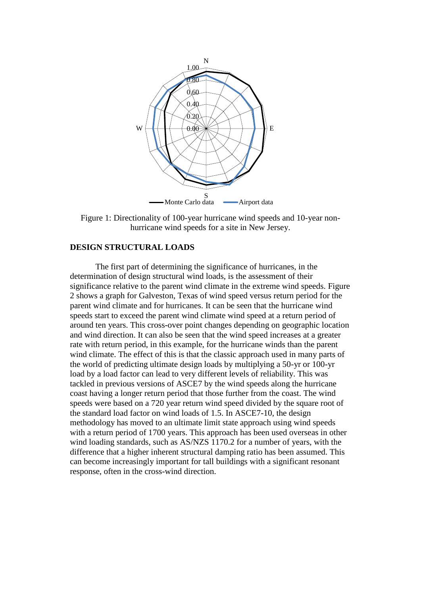

Figure 1: Directionality of 100-year hurricane wind speeds and 10-year nonhurricane wind speeds for a site in New Jersey.

# **DESIGN STRUCTURAL LOADS**

The first part of determining the significance of hurricanes, in the determination of design structural wind loads, is the assessment of their significance relative to the parent wind climate in the extreme wind speeds. Figure 2 shows a graph for Galveston, Texas of wind speed versus return period for the parent wind climate and for hurricanes. It can be seen that the hurricane wind speeds start to exceed the parent wind climate wind speed at a return period of around ten years. This cross-over point changes depending on geographic location and wind direction. It can also be seen that the wind speed increases at a greater rate with return period, in this example, for the hurricane winds than the parent wind climate. The effect of this is that the classic approach used in many parts of the world of predicting ultimate design loads by multiplying a 50-yr or 100-yr load by a load factor can lead to very different levels of reliability. This was tackled in previous versions of ASCE7 by the wind speeds along the hurricane coast having a longer return period that those further from the coast. The wind speeds were based on a 720 year return wind speed divided by the square root of the standard load factor on wind loads of 1.5. In ASCE7-10, the design methodology has moved to an ultimate limit state approach using wind speeds with a return period of 1700 years. This approach has been used overseas in other wind loading standards, such as AS/NZS 1170.2 for a number of years, with the difference that a higher inherent structural damping ratio has been assumed. This can become increasingly important for tall buildings with a significant resonant response, often in the cross-wind direction.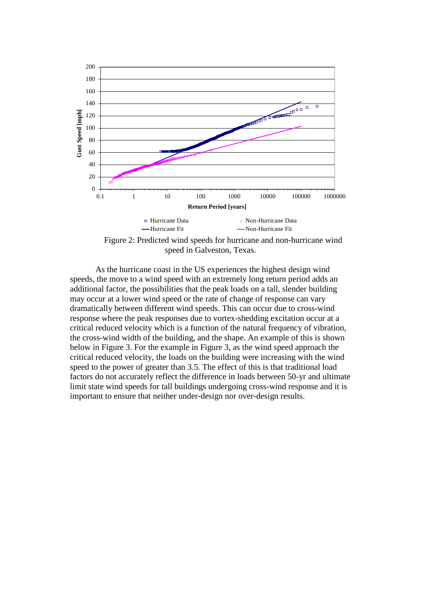

Figure 2: Predicted wind speeds for hurricane and non-hurricane wind speed in Galveston, Texas.

As the hurricane coast in the US experiences the highest design wind speeds, the move to a wind speed with an extremely long return period adds an additional factor, the possibilities that the peak loads on a tall, slender building may occur at a lower wind speed or the rate of change of response can vary dramatically between different wind speeds. This can occur due to cross-wind response where the peak responses due to vortex-shedding excitation occur at a critical reduced velocity which is a function of the natural frequency of vibration, the cross-wind width of the building, and the shape. An example of this is shown below in Figure 3. For the example in Figure 3, as the wind speed approach the critical reduced velocity, the loads on the building were increasing with the wind speed to the power of greater than 3.5. The effect of this is that traditional load factors do not accurately reflect the difference in loads between 50-yr and ultimate limit state wind speeds for tall buildings undergoing cross-wind response and it is important to ensure that neither under-design nor over-design results.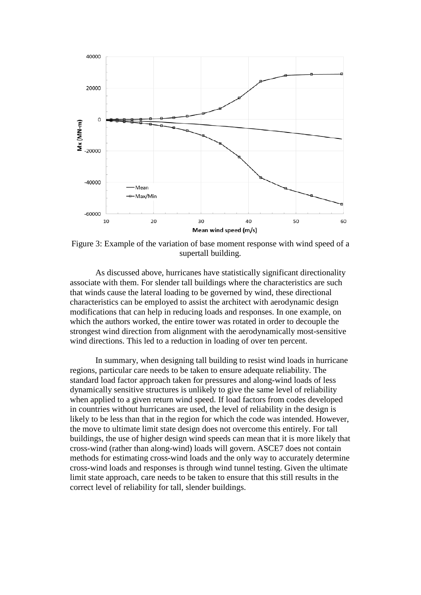

Figure 3: Example of the variation of base moment response with wind speed of a supertall building.

As discussed above, hurricanes have statistically significant directionality associate with them. For slender tall buildings where the characteristics are such that winds cause the lateral loading to be governed by wind, these directional characteristics can be employed to assist the architect with aerodynamic design modifications that can help in reducing loads and responses. In one example, on which the authors worked, the entire tower was rotated in order to decouple the strongest wind direction from alignment with the aerodynamically most-sensitive wind directions. This led to a reduction in loading of over ten percent.

In summary, when designing tall building to resist wind loads in hurricane regions, particular care needs to be taken to ensure adequate reliability. The standard load factor approach taken for pressures and along-wind loads of less dynamically sensitive structures is unlikely to give the same level of reliability when applied to a given return wind speed. If load factors from codes developed in countries without hurricanes are used, the level of reliability in the design is likely to be less than that in the region for which the code was intended. However, the move to ultimate limit state design does not overcome this entirely. For tall buildings, the use of higher design wind speeds can mean that it is more likely that cross-wind (rather than along-wind) loads will govern. ASCE7 does not contain methods for estimating cross-wind loads and the only way to accurately determine cross-wind loads and responses is through wind tunnel testing. Given the ultimate limit state approach, care needs to be taken to ensure that this still results in the correct level of reliability for tall, slender buildings.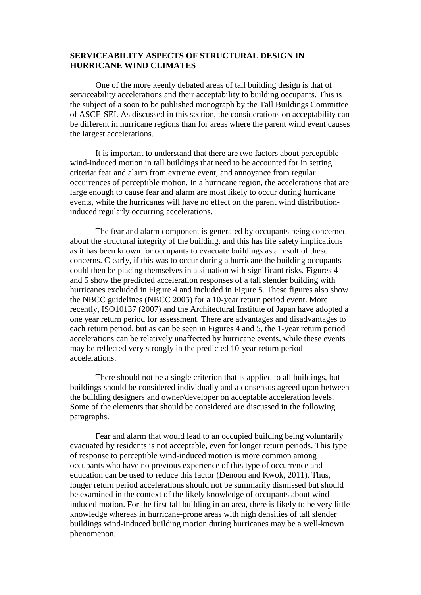#### **SERVICEABILITY ASPECTS OF STRUCTURAL DESIGN IN HURRICANE WIND CLIMATES**

One of the more keenly debated areas of tall building design is that of serviceability accelerations and their acceptability to building occupants. This is the subject of a soon to be published monograph by the Tall Buildings Committee of ASCE-SEI. As discussed in this section, the considerations on acceptability can be different in hurricane regions than for areas where the parent wind event causes the largest accelerations.

It is important to understand that there are two factors about perceptible wind-induced motion in tall buildings that need to be accounted for in setting criteria: fear and alarm from extreme event, and annoyance from regular occurrences of perceptible motion. In a hurricane region, the accelerations that are large enough to cause fear and alarm are most likely to occur during hurricane events, while the hurricanes will have no effect on the parent wind distributioninduced regularly occurring accelerations.

The fear and alarm component is generated by occupants being concerned about the structural integrity of the building, and this has life safety implications as it has been known for occupants to evacuate buildings as a result of these concerns. Clearly, if this was to occur during a hurricane the building occupants could then be placing themselves in a situation with significant risks. Figures 4 and 5 show the predicted acceleration responses of a tall slender building with hurricanes excluded in Figure 4 and included in Figure 5. These figures also show the NBCC guidelines (NBCC 2005) for a 10-year return period event. More recently, ISO10137 (2007) and the Architectural Institute of Japan have adopted a one year return period for assessment. There are advantages and disadvantages to each return period, but as can be seen in Figures 4 and 5, the 1-year return period accelerations can be relatively unaffected by hurricane events, while these events may be reflected very strongly in the predicted 10-year return period accelerations.

There should not be a single criterion that is applied to all buildings, but buildings should be considered individually and a consensus agreed upon between the building designers and owner/developer on acceptable acceleration levels. Some of the elements that should be considered are discussed in the following paragraphs.

Fear and alarm that would lead to an occupied building being voluntarily evacuated by residents is not acceptable, even for longer return periods. This type of response to perceptible wind-induced motion is more common among occupants who have no previous experience of this type of occurrence and education can be used to reduce this factor (Denoon and Kwok, 2011). Thus, longer return period accelerations should not be summarily dismissed but should be examined in the context of the likely knowledge of occupants about windinduced motion. For the first tall building in an area, there is likely to be very little knowledge whereas in hurricane-prone areas with high densities of tall slender buildings wind-induced building motion during hurricanes may be a well-known phenomenon.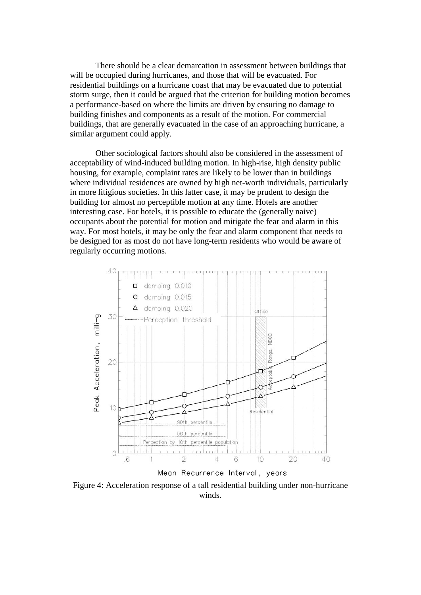There should be a clear demarcation in assessment between buildings that will be occupied during hurricanes, and those that will be evacuated. For residential buildings on a hurricane coast that may be evacuated due to potential storm surge, then it could be argued that the criterion for building motion becomes a performance-based on where the limits are driven by ensuring no damage to building finishes and components as a result of the motion. For commercial buildings, that are generally evacuated in the case of an approaching hurricane, a similar argument could apply.

Other sociological factors should also be considered in the assessment of acceptability of wind-induced building motion. In high-rise, high density public housing, for example, complaint rates are likely to be lower than in buildings where individual residences are owned by high net-worth individuals, particularly in more litigious societies. In this latter case, it may be prudent to design the building for almost no perceptible motion at any time. Hotels are another interesting case. For hotels, it is possible to educate the (generally naive) occupants about the potential for motion and mitigate the fear and alarm in this way. For most hotels, it may be only the fear and alarm component that needs to be designed for as most do not have long-term residents who would be aware of regularly occurring motions.



Figure 4: Acceleration response of a tall residential building under non-hurricane winds.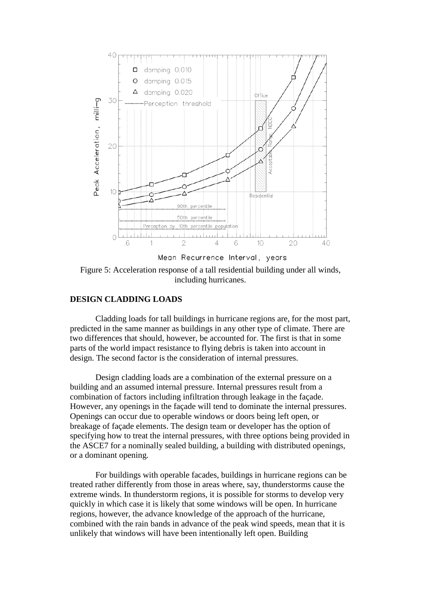

Figure 5: Acceleration response of a tall residential building under all winds, including hurricanes.

# **DESIGN CLADDING LOADS**

Cladding loads for tall buildings in hurricane regions are, for the most part, predicted in the same manner as buildings in any other type of climate. There are two differences that should, however, be accounted for. The first is that in some parts of the world impact resistance to flying debris is taken into account in design. The second factor is the consideration of internal pressures.

Design cladding loads are a combination of the external pressure on a building and an assumed internal pressure. Internal pressures result from a combination of factors including infiltration through leakage in the façade. However, any openings in the façade will tend to dominate the internal pressures. Openings can occur due to operable windows or doors being left open, or breakage of façade elements. The design team or developer has the option of specifying how to treat the internal pressures, with three options being provided in the ASCE7 for a nominally sealed building, a building with distributed openings, or a dominant opening.

For buildings with operable facades, buildings in hurricane regions can be treated rather differently from those in areas where, say, thunderstorms cause the extreme winds. In thunderstorm regions, it is possible for storms to develop very quickly in which case it is likely that some windows will be open. In hurricane regions, however, the advance knowledge of the approach of the hurricane, combined with the rain bands in advance of the peak wind speeds, mean that it is unlikely that windows will have been intentionally left open. Building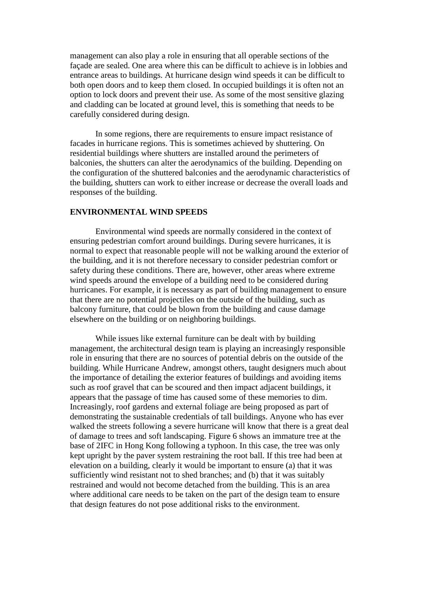management can also play a role in ensuring that all operable sections of the façade are sealed. One area where this can be difficult to achieve is in lobbies and entrance areas to buildings. At hurricane design wind speeds it can be difficult to both open doors and to keep them closed. In occupied buildings it is often not an option to lock doors and prevent their use. As some of the most sensitive glazing and cladding can be located at ground level, this is something that needs to be carefully considered during design.

In some regions, there are requirements to ensure impact resistance of facades in hurricane regions. This is sometimes achieved by shuttering. On residential buildings where shutters are installed around the perimeters of balconies, the shutters can alter the aerodynamics of the building. Depending on the configuration of the shuttered balconies and the aerodynamic characteristics of the building, shutters can work to either increase or decrease the overall loads and responses of the building.

#### **ENVIRONMENTAL WIND SPEEDS**

Environmental wind speeds are normally considered in the context of ensuring pedestrian comfort around buildings. During severe hurricanes, it is normal to expect that reasonable people will not be walking around the exterior of the building, and it is not therefore necessary to consider pedestrian comfort or safety during these conditions. There are, however, other areas where extreme wind speeds around the envelope of a building need to be considered during hurricanes. For example, it is necessary as part of building management to ensure that there are no potential projectiles on the outside of the building, such as balcony furniture, that could be blown from the building and cause damage elsewhere on the building or on neighboring buildings.

While issues like external furniture can be dealt with by building management, the architectural design team is playing an increasingly responsible role in ensuring that there are no sources of potential debris on the outside of the building. While Hurricane Andrew, amongst others, taught designers much about the importance of detailing the exterior features of buildings and avoiding items such as roof gravel that can be scoured and then impact adjacent buildings, it appears that the passage of time has caused some of these memories to dim. Increasingly, roof gardens and external foliage are being proposed as part of demonstrating the sustainable credentials of tall buildings. Anyone who has ever walked the streets following a severe hurricane will know that there is a great deal of damage to trees and soft landscaping. Figure 6 shows an immature tree at the base of 2IFC in Hong Kong following a typhoon. In this case, the tree was only kept upright by the paver system restraining the root ball. If this tree had been at elevation on a building, clearly it would be important to ensure (a) that it was sufficiently wind resistant not to shed branches; and (b) that it was suitably restrained and would not become detached from the building. This is an area where additional care needs to be taken on the part of the design team to ensure that design features do not pose additional risks to the environment.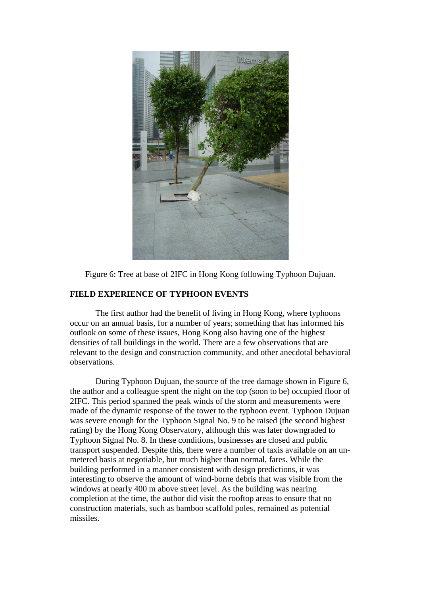

Figure 6: Tree at base of 2IFC in Hong Kong following Typhoon Dujuan.

# **FIELD EXPERIENCE OF TYPHOON EVENTS**

The first author had the benefit of living in Hong Kong, where typhoons occur on an annual basis, for a number of years; something that has informed his outlook on some of these issues, Hong Kong also having one of the highest densities of tall buildings in the world. There are a few observations that are relevant to the design and construction community, and other anecdotal behavioral observations.

During Typhoon Dujuan, the source of the tree damage shown in Figure 6, the author and a colleague spent the night on the top (soon to be) occupied floor of 2IFC. This period spanned the peak winds of the storm and measurements were made of the dynamic response of the tower to the typhoon event. Typhoon Dujuan was severe enough for the Typhoon Signal No. 9 to be raised (the second highest rating) by the Hong Kong Observatory, although this was later downgraded to Typhoon Signal No. 8. In these conditions, businesses are closed and public transport suspended. Despite this, there were a number of taxis available on an unmetered basis at negotiable, but much higher than normal, fares. While the building performed in a manner consistent with design predictions, it was interesting to observe the amount of wind-borne debris that was visible from the windows at nearly 400 m above street level. As the building was nearing completion at the time, the author did visit the rooftop areas to ensure that no construction materials, such as bamboo scaffold poles, remained as potential missiles.